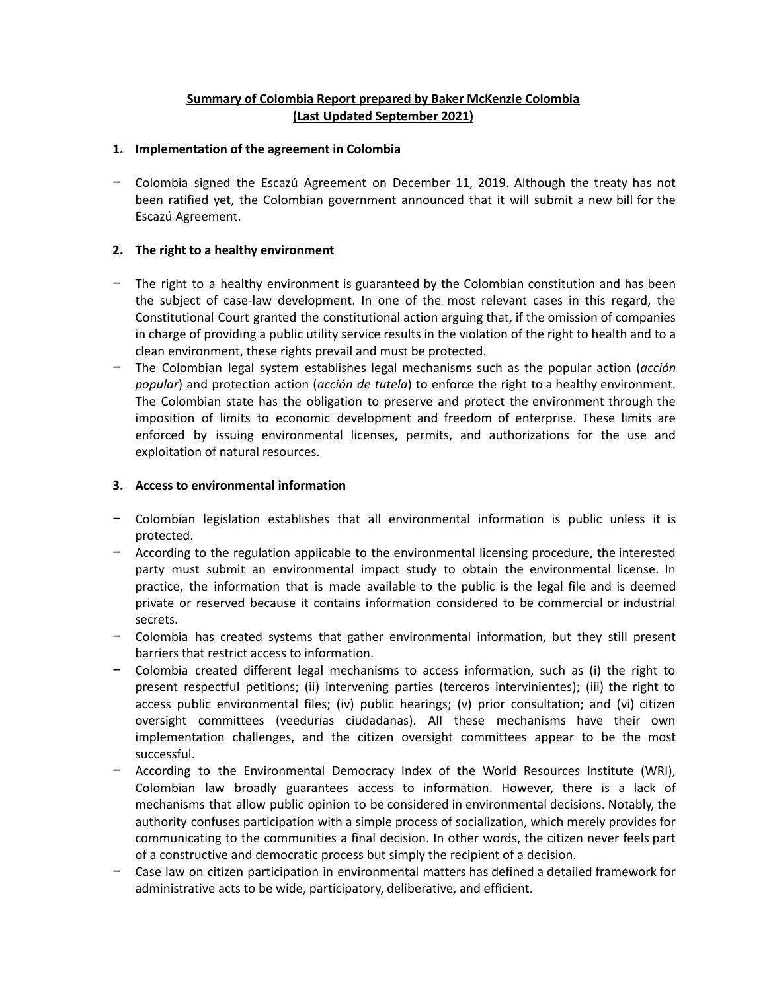# **Summary of Colombia Report prepared by Baker McKenzie Colombia (Last Updated September 2021)**

## **1. Implementation of the agreement in Colombia**

− Colombia signed the Escazú Agreement on December 11, 2019. Although the treaty has not been ratified yet, the Colombian government announced that it will submit a new bill for the Escazú Agreement.

# **2. The right to a healthy environment**

- − The right to a healthy environment is guaranteed by the Colombian constitution and has been the subject of case-law development. In one of the most relevant cases in this regard, the Constitutional Court granted the constitutional action arguing that, if the omission of companies in charge of providing a public utility service results in the violation of the right to health and to a clean environment, these rights prevail and must be protected.
- − The Colombian legal system establishes legal mechanisms such as the popular action (*acción popular*) and protection action (*acción de tutela*) to enforce the right to a healthy environment. The Colombian state has the obligation to preserve and protect the environment through the imposition of limits to economic development and freedom of enterprise. These limits are enforced by issuing environmental licenses, permits, and authorizations for the use and exploitation of natural resources.

# **3. Access to environmental information**

- − Colombian legislation establishes that all environmental information is public unless it is protected.
- − According to the regulation applicable to the environmental licensing procedure, the interested party must submit an environmental impact study to obtain the environmental license. In practice, the information that is made available to the public is the legal file and is deemed private or reserved because it contains information considered to be commercial or industrial secrets.
- − Colombia has created systems that gather environmental information, but they still present barriers that restrict access to information.
- − Colombia created different legal mechanisms to access information, such as (i) the right to present respectful petitions; (ii) intervening parties (terceros intervinientes); (iii) the right to access public environmental files; (iv) public hearings; (v) prior consultation; and (vi) citizen oversight committees (veedurías ciudadanas). All these mechanisms have their own implementation challenges, and the citizen oversight committees appear to be the most successful.
- − According to the Environmental Democracy Index of the World Resources Institute (WRI), Colombian law broadly guarantees access to information. However, there is a lack of mechanisms that allow public opinion to be considered in environmental decisions. Notably, the authority confuses participation with a simple process of socialization, which merely provides for communicating to the communities a final decision. In other words, the citizen never feels part of a constructive and democratic process but simply the recipient of a decision.
- − Case law on citizen participation in environmental matters has defined a detailed framework for administrative acts to be wide, participatory, deliberative, and efficient.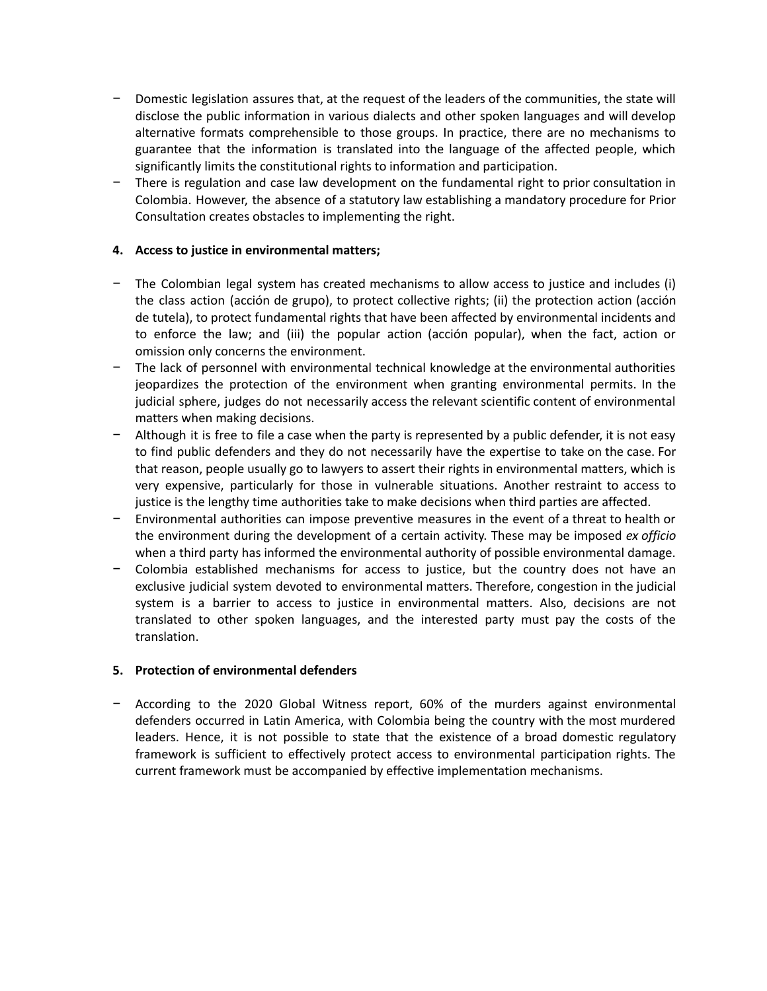- − Domestic legislation assures that, at the request of the leaders of the communities, the state will disclose the public information in various dialects and other spoken languages and will develop alternative formats comprehensible to those groups. In practice, there are no mechanisms to guarantee that the information is translated into the language of the affected people, which significantly limits the constitutional rights to information and participation.
- There is regulation and case law development on the fundamental right to prior consultation in Colombia. However, the absence of a statutory law establishing a mandatory procedure for Prior Consultation creates obstacles to implementing the right.

# **4. Access to justice in environmental matters;**

- − The Colombian legal system has created mechanisms to allow access to justice and includes (i) the class action (acción de grupo), to protect collective rights; (ii) the protection action (acción de tutela), to protect fundamental rights that have been affected by environmental incidents and to enforce the law; and (iii) the popular action (acción popular), when the fact, action or omission only concerns the environment.
- The lack of personnel with environmental technical knowledge at the environmental authorities jeopardizes the protection of the environment when granting environmental permits. In the judicial sphere, judges do not necessarily access the relevant scientific content of environmental matters when making decisions.
- − Although it is free to file a case when the party is represented by a public defender, it is not easy to find public defenders and they do not necessarily have the expertise to take on the case. For that reason, people usually go to lawyers to assert their rights in environmental matters, which is very expensive, particularly for those in vulnerable situations. Another restraint to access to justice is the lengthy time authorities take to make decisions when third parties are affected.
- − Environmental authorities can impose preventive measures in the event of a threat to health or the environment during the development of a certain activity. These may be imposed *ex officio* when a third party has informed the environmental authority of possible environmental damage.
- − Colombia established mechanisms for access to justice, but the country does not have an exclusive judicial system devoted to environmental matters. Therefore, congestion in the judicial system is a barrier to access to justice in environmental matters. Also, decisions are not translated to other spoken languages, and the interested party must pay the costs of the translation.

## **5. Protection of environmental defenders**

− According to the 2020 Global Witness report, 60% of the murders against environmental defenders occurred in Latin America, with Colombia being the country with the most murdered leaders. Hence, it is not possible to state that the existence of a broad domestic regulatory framework is sufficient to effectively protect access to environmental participation rights. The current framework must be accompanied by effective implementation mechanisms.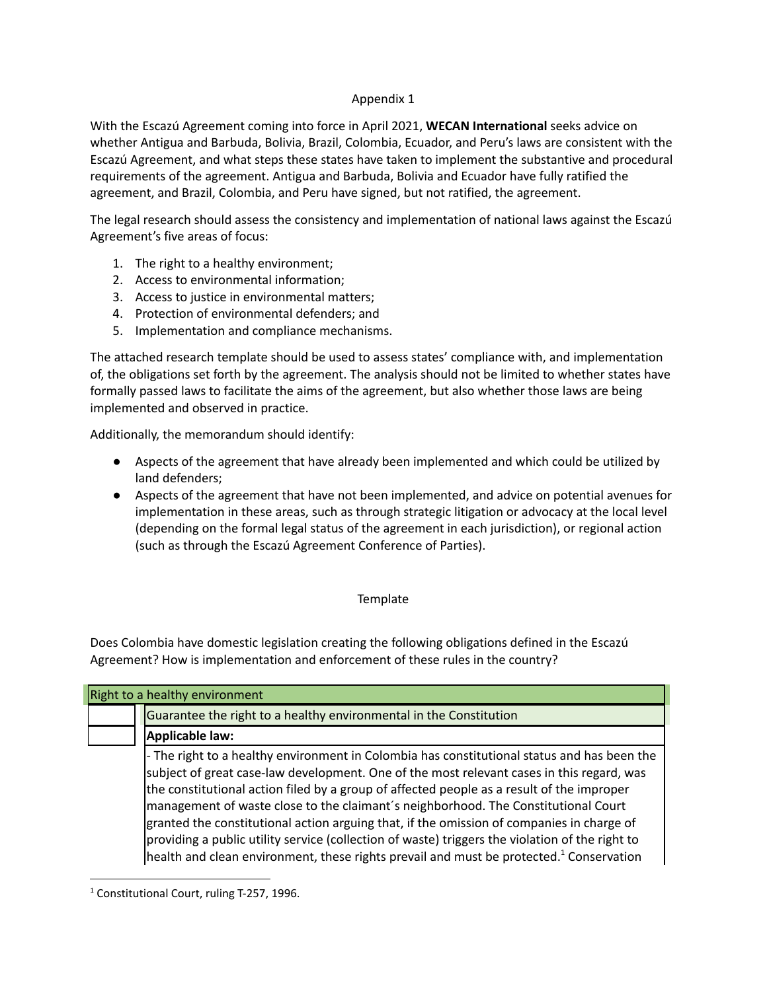## Appendix 1

With the Escazú Agreement coming into force in April 2021, **WECAN International** seeks advice on whether Antigua and Barbuda, Bolivia, Brazil, Colombia, Ecuador, and Peru's laws are consistent with the Escazú Agreement, and what steps these states have taken to implement the substantive and procedural requirements of the agreement. Antigua and Barbuda, Bolivia and Ecuador have fully ratified the agreement, and Brazil, Colombia, and Peru have signed, but not ratified, the agreement.

The legal research should assess the consistency and implementation of national laws against the Escazú Agreement's five areas of focus:

- 1. The right to a healthy environment;
- 2. Access to environmental information;
- 3. Access to justice in environmental matters;
- 4. Protection of environmental defenders; and
- 5. Implementation and compliance mechanisms.

The attached research template should be used to assess states' compliance with, and implementation of, the obligations set forth by the agreement. The analysis should not be limited to whether states have formally passed laws to facilitate the aims of the agreement, but also whether those laws are being implemented and observed in practice.

Additionally, the memorandum should identify:

- Aspects of the agreement that have already been implemented and which could be utilized by land defenders;
- Aspects of the agreement that have not been implemented, and advice on potential avenues for implementation in these areas, such as through strategic litigation or advocacy at the local level (depending on the formal legal status of the agreement in each jurisdiction), or regional action (such as through the Escazú Agreement Conference of Parties).

## **Template**

Does Colombia have domestic legislation creating the following obligations defined in the Escazú Agreement? How is implementation and enforcement of these rules in the country?

| Right to a healthy environment |                                                                                                                                                                                                                                                                                                                                                                                                                                                                                                                                                                                                                                                                                    |
|--------------------------------|------------------------------------------------------------------------------------------------------------------------------------------------------------------------------------------------------------------------------------------------------------------------------------------------------------------------------------------------------------------------------------------------------------------------------------------------------------------------------------------------------------------------------------------------------------------------------------------------------------------------------------------------------------------------------------|
|                                | Guarantee the right to a healthy environmental in the Constitution                                                                                                                                                                                                                                                                                                                                                                                                                                                                                                                                                                                                                 |
|                                | Applicable law:                                                                                                                                                                                                                                                                                                                                                                                                                                                                                                                                                                                                                                                                    |
|                                | - The right to a healthy environment in Colombia has constitutional status and has been the<br>subject of great case-law development. One of the most relevant cases in this regard, was<br>the constitutional action filed by a group of affected people as a result of the improper<br>management of waste close to the claimant's neighborhood. The Constitutional Court<br>granted the constitutional action arguing that, if the omission of companies in charge of<br>providing a public utility service (collection of waste) triggers the violation of the right to<br>health and clean environment, these rights prevail and must be protected. <sup>1</sup> Conservation |

<sup>&</sup>lt;sup>1</sup> Constitutional Court, ruling T-257, 1996.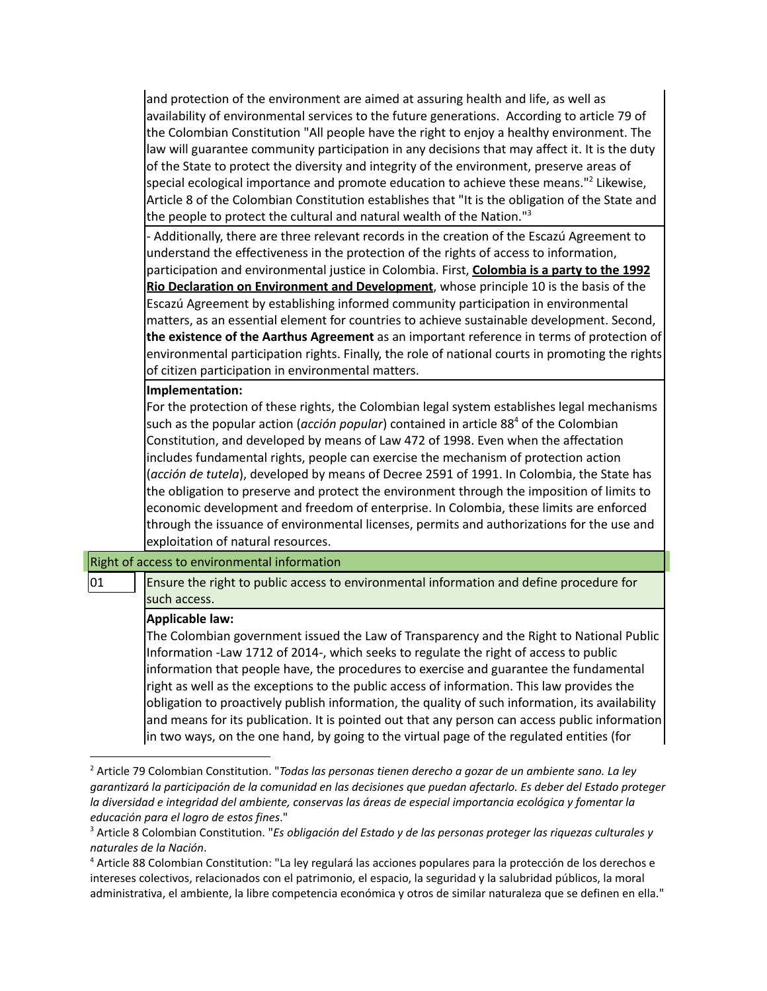and protection of the environment are aimed at assuring health and life, as well as availability of environmental services to the future generations. According to article 79 of the Colombian Constitution "All people have the right to enjoy a healthy environment. The law will guarantee community participation in any decisions that may affect it. It is the duty of the State to protect the diversity and integrity of the environment, preserve areas of special ecological importance and promote education to achieve these means." <sup>2</sup> Likewise, Article 8 of the Colombian Constitution establishes that "It is the obligation of the State and the people to protect the cultural and natural wealth of the Nation."<sup>3</sup>

- Additionally, there are three relevant records in the creation of the Escazú Agreement to understand the effectiveness in the protection of the rights of access to information, participation and environmental justice in Colombia. First, **Colombia is a party to the 1992 Rio Declaration on Environment and Development**, whose principle 10 is the basis of the Escazú Agreement by establishing informed community participation in environmental matters, as an essential element for countries to achieve sustainable development. Second, **the existence of the Aarthus Agreement** as an important reference in terms of protection of environmental participation rights. Finally, the role of national courts in promoting the rights of citizen participation in environmental matters.

### **Implementation:**

For the protection of these rights, the Colombian legal system establishes legal mechanisms such as the popular action (*acción popular*) contained in article 88 <sup>4</sup> of the Colombian Constitution, and developed by means of Law 472 of 1998. Even when the affectation includes fundamental rights, people can exercise the mechanism of protection action (*acción de tutela*), developed by means of Decree 2591 of 1991. In Colombia, the State has the obligation to preserve and protect the environment through the imposition of limits to economic development and freedom of enterprise. In Colombia, these limits are enforced through the issuance of environmental licenses, permits and authorizations for the use and exploitation of natural resources.

#### Right of access to environmental information

01 Ensure the right to public access to environmental information and define procedure for such access.

#### **Applicable law:**

The Colombian government issued the Law of Transparency and the Right to National Public Information -Law 1712 of 2014-, which seeks to regulate the right of access to public information that people have, the procedures to exercise and guarantee the fundamental right as well as the exceptions to the public access of information. This law provides the obligation to proactively publish information, the quality of such information, its availability and means for its publication. It is pointed out that any person can access public information in two ways, on the one hand, by going to the virtual page of the regulated entities (for

<sup>2</sup> Article 79 Colombian Constitution. "*Todas las personas tienen derecho a gozar de un ambiente sano. La ley* garantizará la participación de la comunidad en las decisiones que puedan afectarlo. Es deber del Estado proteger *la diversidad e integridad del ambiente, conservas las áreas de especial importancia ecológica y fomentar la educación para el logro de estos fines*."

<sup>3</sup> Article 8 Colombian Constitution. "*Es obligación del Estado y de las personas proteger las riquezas culturales y naturales de la Nación*.

<sup>4</sup> Article 88 Colombian Constitution: "La ley regulará las acciones populares para la protección de los derechos e intereses colectivos, relacionados con el patrimonio, el espacio, la seguridad y la salubridad públicos, la moral administrativa, el ambiente, la libre competencia económica y otros de similar naturaleza que se definen en ella."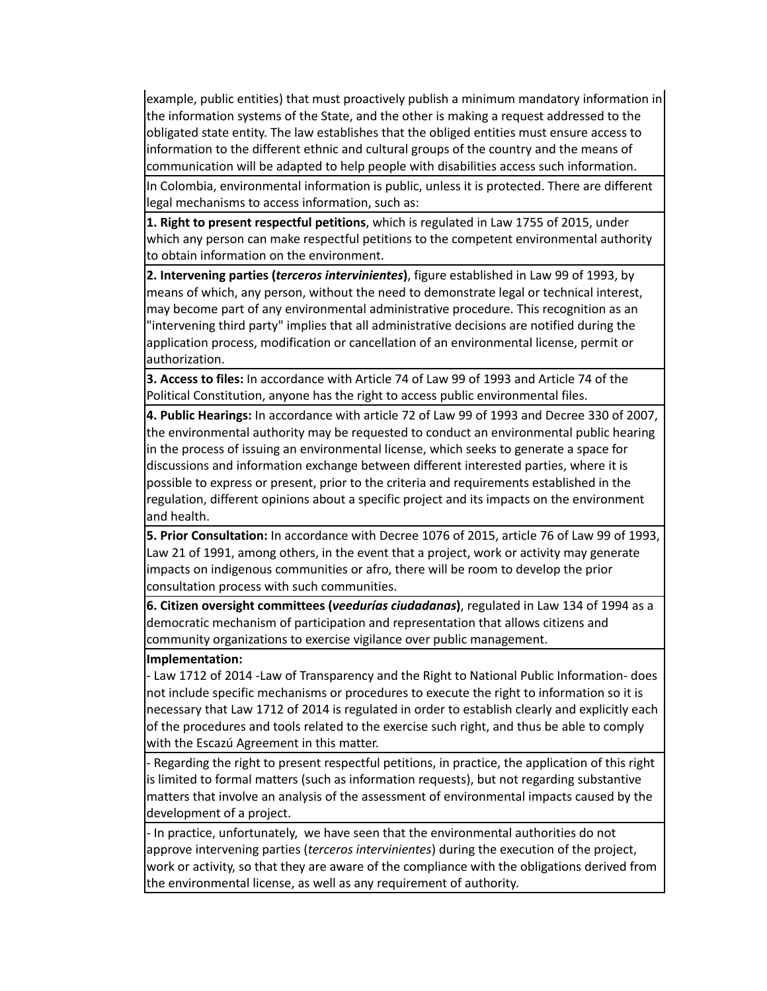example, public entities) that must proactively publish a minimum mandatory information in the information systems of the State, and the other is making a request addressed to the obligated state entity. The law establishes that the obliged entities must ensure access to information to the different ethnic and cultural groups of the country and the means of communication will be adapted to help people with disabilities access such information.

In Colombia, environmental information is public, unless it is protected. There are different legal mechanisms to access information, such as:

**1. Right to present respectful petitions**, which is regulated in Law 1755 of 2015, under which any person can make respectful petitions to the competent environmental authority to obtain information on the environment.

**2. Intervening parties (***terceros intervinientes***)**, figure established in Law 99 of 1993, by means of which, any person, without the need to demonstrate legal or technical interest, may become part of any environmental administrative procedure. This recognition as an "intervening third party" implies that all administrative decisions are notified during the application process, modification or cancellation of an environmental license, permit or authorization.

**3. Access to files:** In accordance with Article 74 of Law 99 of 1993 and Article 74 of the Political Constitution, anyone has the right to access public environmental files.

**4. Public Hearings:** In accordance with article 72 of Law 99 of 1993 and Decree 330 of 2007, the environmental authority may be requested to conduct an environmental public hearing in the process of issuing an environmental license, which seeks to generate a space for discussions and information exchange between different interested parties, where it is possible to express or present, prior to the criteria and requirements established in the regulation, different opinions about a specific project and its impacts on the environment and health.

**5. Prior Consultation:** In accordance with Decree 1076 of 2015, article 76 of Law 99 of 1993, Law 21 of 1991, among others, in the event that a project, work or activity may generate impacts on indigenous communities or afro, there will be room to develop the prior consultation process with such communities.

**6. Citizen oversight committees (***veedurías ciudadanas***)**, regulated in Law 134 of 1994 as a democratic mechanism of participation and representation that allows citizens and community organizations to exercise vigilance over public management.

### **Implementation:**

- Law 1712 of 2014 -Law of Transparency and the Right to National Public Information- does not include specific mechanisms or procedures to execute the right to information so it is necessary that Law 1712 of 2014 is regulated in order to establish clearly and explicitly each of the procedures and tools related to the exercise such right, and thus be able to comply with the Escazú Agreement in this matter.

- Regarding the right to present respectful petitions, in practice, the application of this right is limited to formal matters (such as information requests), but not regarding substantive matters that involve an analysis of the assessment of environmental impacts caused by the development of a project.

- In practice, unfortunately, we have seen that the environmental authorities do not approve intervening parties (*terceros intervinientes*) during the execution of the project, work or activity, so that they are aware of the compliance with the obligations derived from the environmental license, as well as any requirement of authority.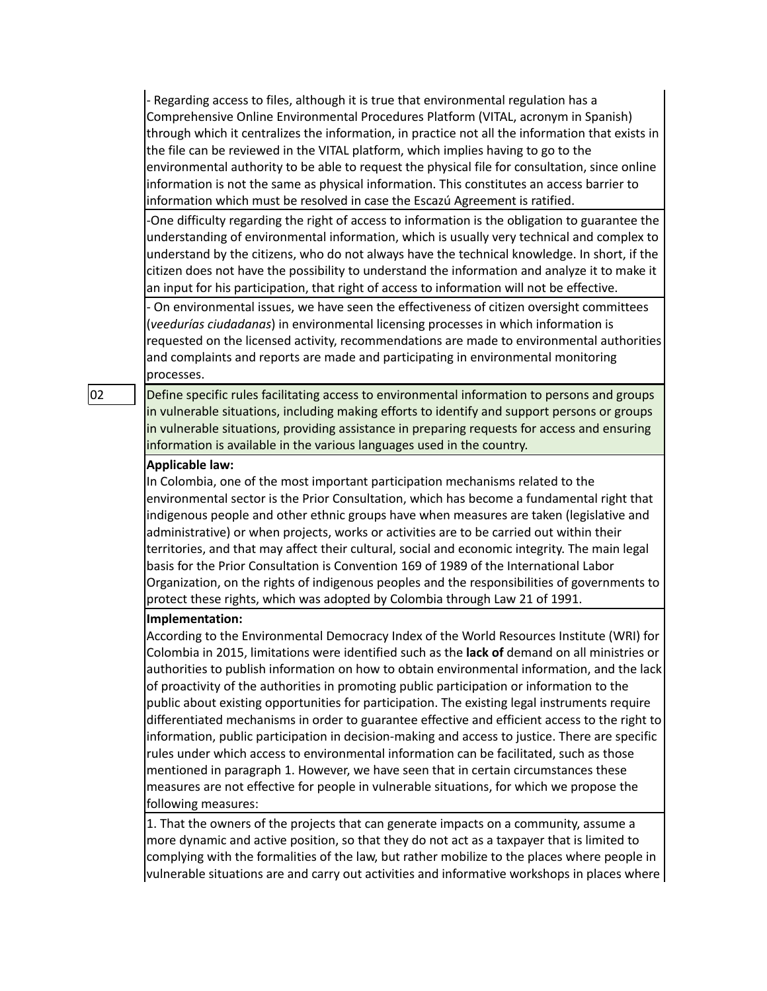- Regarding access to files, although it is true that environmental regulation has a Comprehensive Online Environmental Procedures Platform (VITAL, acronym in Spanish) through which it centralizes the information, in practice not all the information that exists in the file can be reviewed in the VITAL platform, which implies having to go to the environmental authority to be able to request the physical file for consultation, since online information is not the same as physical information. This constitutes an access barrier to information which must be resolved in case the Escazú Agreement is ratified.

-One difficulty regarding the right of access to information is the obligation to guarantee the understanding of environmental information, which is usually very technical and complex to understand by the citizens, who do not always have the technical knowledge. In short, if the citizen does not have the possibility to understand the information and analyze it to make it an input for his participation, that right of access to information will not be effective.

- On environmental issues, we have seen the effectiveness of citizen oversight committees (*veedurías ciudadanas*) in environmental licensing processes in which information is requested on the licensed activity, recommendations are made to environmental authorities and complaints and reports are made and participating in environmental monitoring processes.

02 Define specific rules facilitating access to environmental information to persons and groups in vulnerable situations, including making efforts to identify and support persons or groups in vulnerable situations, providing assistance in preparing requests for access and ensuring information is available in the various languages used in the country.

#### **Applicable law:**

In Colombia, one of the most important participation mechanisms related to the environmental sector is the Prior Consultation, which has become a fundamental right that indigenous people and other ethnic groups have when measures are taken (legislative and administrative) or when projects, works or activities are to be carried out within their territories, and that may affect their cultural, social and economic integrity. The main legal basis for the Prior Consultation is Convention 169 of 1989 of the International Labor Organization, on the rights of indigenous peoples and the responsibilities of governments to protect these rights, which was adopted by Colombia through Law 21 of 1991.

#### **Implementation:**

According to the Environmental Democracy Index of the World Resources Institute (WRI) for Colombia in 2015, limitations were identified such as the **lack of** demand on all ministries or authorities to publish information on how to obtain environmental information, and the lack of proactivity of the authorities in promoting public participation or information to the public about existing opportunities for participation. The existing legal instruments require differentiated mechanisms in order to guarantee effective and efficient access to the right to information, public participation in decision-making and access to justice. There are specific rules under which access to environmental information can be facilitated, such as those mentioned in paragraph 1. However, we have seen that in certain circumstances these measures are not effective for people in vulnerable situations, for which we propose the following measures:

1. That the owners of the projects that can generate impacts on a community, assume a more dynamic and active position, so that they do not act as a taxpayer that is limited to complying with the formalities of the law, but rather mobilize to the places where people in vulnerable situations are and carry out activities and informative workshops in places where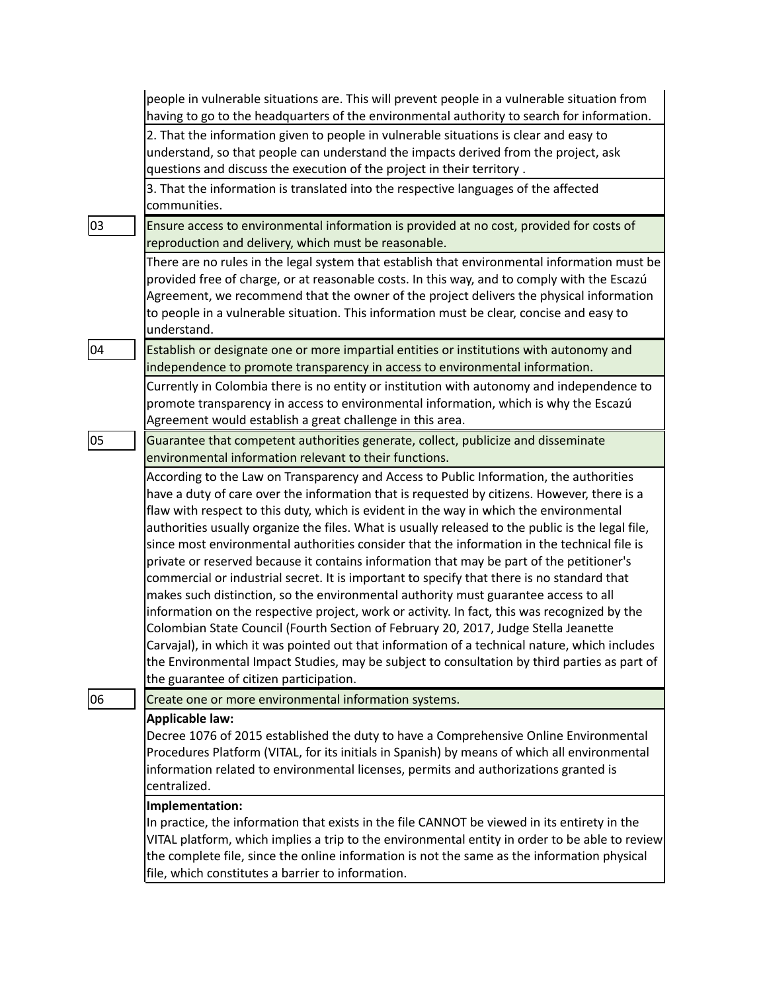|    | people in vulnerable situations are. This will prevent people in a vulnerable situation from<br>having to go to the headquarters of the environmental authority to search for information.                                                                                                                                                                                                                                                                                                                                                                                                                                                                                                                                                                                                                                                                                                                                                                                                                                                                                                                                                                                                              |
|----|---------------------------------------------------------------------------------------------------------------------------------------------------------------------------------------------------------------------------------------------------------------------------------------------------------------------------------------------------------------------------------------------------------------------------------------------------------------------------------------------------------------------------------------------------------------------------------------------------------------------------------------------------------------------------------------------------------------------------------------------------------------------------------------------------------------------------------------------------------------------------------------------------------------------------------------------------------------------------------------------------------------------------------------------------------------------------------------------------------------------------------------------------------------------------------------------------------|
|    | 2. That the information given to people in vulnerable situations is clear and easy to<br>understand, so that people can understand the impacts derived from the project, ask<br>questions and discuss the execution of the project in their territory.                                                                                                                                                                                                                                                                                                                                                                                                                                                                                                                                                                                                                                                                                                                                                                                                                                                                                                                                                  |
|    | 3. That the information is translated into the respective languages of the affected<br>communities.                                                                                                                                                                                                                                                                                                                                                                                                                                                                                                                                                                                                                                                                                                                                                                                                                                                                                                                                                                                                                                                                                                     |
| 03 | Ensure access to environmental information is provided at no cost, provided for costs of<br>reproduction and delivery, which must be reasonable.                                                                                                                                                                                                                                                                                                                                                                                                                                                                                                                                                                                                                                                                                                                                                                                                                                                                                                                                                                                                                                                        |
|    | There are no rules in the legal system that establish that environmental information must be<br>provided free of charge, or at reasonable costs. In this way, and to comply with the Escazú<br>Agreement, we recommend that the owner of the project delivers the physical information<br>to people in a vulnerable situation. This information must be clear, concise and easy to<br>understand.                                                                                                                                                                                                                                                                                                                                                                                                                                                                                                                                                                                                                                                                                                                                                                                                       |
| 04 | Establish or designate one or more impartial entities or institutions with autonomy and<br>independence to promote transparency in access to environmental information.                                                                                                                                                                                                                                                                                                                                                                                                                                                                                                                                                                                                                                                                                                                                                                                                                                                                                                                                                                                                                                 |
|    | Currently in Colombia there is no entity or institution with autonomy and independence to<br>promote transparency in access to environmental information, which is why the Escazú<br>Agreement would establish a great challenge in this area.                                                                                                                                                                                                                                                                                                                                                                                                                                                                                                                                                                                                                                                                                                                                                                                                                                                                                                                                                          |
| 05 | Guarantee that competent authorities generate, collect, publicize and disseminate<br>environmental information relevant to their functions.                                                                                                                                                                                                                                                                                                                                                                                                                                                                                                                                                                                                                                                                                                                                                                                                                                                                                                                                                                                                                                                             |
|    | According to the Law on Transparency and Access to Public Information, the authorities<br>have a duty of care over the information that is requested by citizens. However, there is a<br>flaw with respect to this duty, which is evident in the way in which the environmental<br>authorities usually organize the files. What is usually released to the public is the legal file,<br>since most environmental authorities consider that the information in the technical file is<br>private or reserved because it contains information that may be part of the petitioner's<br>commercial or industrial secret. It is important to specify that there is no standard that<br>makes such distinction, so the environmental authority must guarantee access to all<br>information on the respective project, work or activity. In fact, this was recognized by the<br>Colombian State Council (Fourth Section of February 20, 2017, Judge Stella Jeanette<br>Carvajal), in which it was pointed out that information of a technical nature, which includes<br>the Environmental Impact Studies, may be subject to consultation by third parties as part of<br>the guarantee of citizen participation. |
| 06 | Create one or more environmental information systems.                                                                                                                                                                                                                                                                                                                                                                                                                                                                                                                                                                                                                                                                                                                                                                                                                                                                                                                                                                                                                                                                                                                                                   |
|    | <b>Applicable law:</b><br>Decree 1076 of 2015 established the duty to have a Comprehensive Online Environmental<br>Procedures Platform (VITAL, for its initials in Spanish) by means of which all environmental<br>information related to environmental licenses, permits and authorizations granted is<br>centralized.                                                                                                                                                                                                                                                                                                                                                                                                                                                                                                                                                                                                                                                                                                                                                                                                                                                                                 |
|    | Implementation:<br>In practice, the information that exists in the file CANNOT be viewed in its entirety in the<br>VITAL platform, which implies a trip to the environmental entity in order to be able to review<br>the complete file, since the online information is not the same as the information physical<br>file, which constitutes a barrier to information.                                                                                                                                                                                                                                                                                                                                                                                                                                                                                                                                                                                                                                                                                                                                                                                                                                   |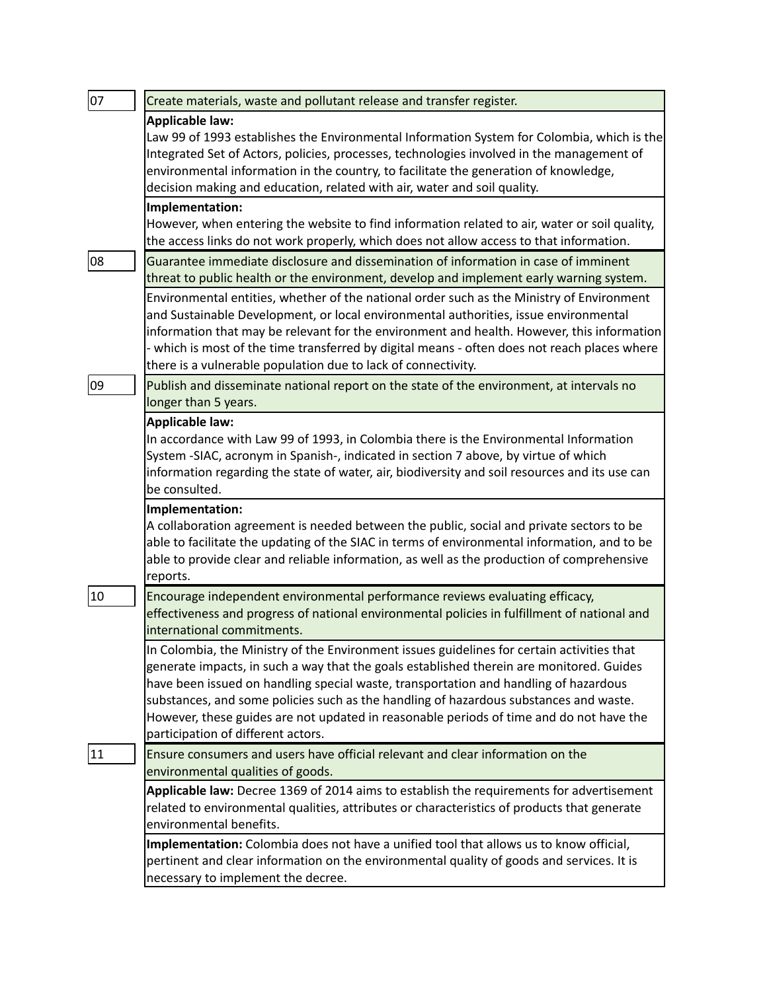| 07 | Create materials, waste and pollutant release and transfer register.                                                                                                                       |
|----|--------------------------------------------------------------------------------------------------------------------------------------------------------------------------------------------|
|    | Applicable law:                                                                                                                                                                            |
|    | Law 99 of 1993 establishes the Environmental Information System for Colombia, which is the                                                                                                 |
|    | Integrated Set of Actors, policies, processes, technologies involved in the management of                                                                                                  |
|    | environmental information in the country, to facilitate the generation of knowledge,                                                                                                       |
|    | decision making and education, related with air, water and soil quality.                                                                                                                   |
|    | Implementation:                                                                                                                                                                            |
|    | However, when entering the website to find information related to air, water or soil quality,                                                                                              |
|    | the access links do not work properly, which does not allow access to that information.                                                                                                    |
| 08 | Guarantee immediate disclosure and dissemination of information in case of imminent                                                                                                        |
|    | threat to public health or the environment, develop and implement early warning system.                                                                                                    |
|    | Environmental entities, whether of the national order such as the Ministry of Environment                                                                                                  |
|    | and Sustainable Development, or local environmental authorities, issue environmental                                                                                                       |
|    | information that may be relevant for the environment and health. However, this information<br>- which is most of the time transferred by digital means - often does not reach places where |
|    | there is a vulnerable population due to lack of connectivity.                                                                                                                              |
| 09 |                                                                                                                                                                                            |
|    | Publish and disseminate national report on the state of the environment, at intervals no<br>longer than 5 years.                                                                           |
|    |                                                                                                                                                                                            |
|    | <b>Applicable law:</b><br>In accordance with Law 99 of 1993, in Colombia there is the Environmental Information                                                                            |
|    | System -SIAC, acronym in Spanish-, indicated in section 7 above, by virtue of which                                                                                                        |
|    | information regarding the state of water, air, biodiversity and soil resources and its use can                                                                                             |
|    | be consulted.                                                                                                                                                                              |
|    | Implementation:                                                                                                                                                                            |
|    | A collaboration agreement is needed between the public, social and private sectors to be                                                                                                   |
|    | able to facilitate the updating of the SIAC in terms of environmental information, and to be                                                                                               |
|    | able to provide clear and reliable information, as well as the production of comprehensive                                                                                                 |
|    | reports.                                                                                                                                                                                   |
| 10 | Encourage independent environmental performance reviews evaluating efficacy,                                                                                                               |
|    | effectiveness and progress of national environmental policies in fulfillment of national and                                                                                               |
|    | international commitments.                                                                                                                                                                 |
|    | In Colombia, the Ministry of the Environment issues guidelines for certain activities that                                                                                                 |
|    | generate impacts, in such a way that the goals established therein are monitored. Guides                                                                                                   |
|    | have been issued on handling special waste, transportation and handling of hazardous                                                                                                       |
|    | substances, and some policies such as the handling of hazardous substances and waste.                                                                                                      |
|    | However, these guides are not updated in reasonable periods of time and do not have the                                                                                                    |
|    | participation of different actors.                                                                                                                                                         |
| 11 | Ensure consumers and users have official relevant and clear information on the                                                                                                             |
|    | environmental qualities of goods.                                                                                                                                                          |
|    | Applicable law: Decree 1369 of 2014 aims to establish the requirements for advertisement                                                                                                   |
|    | related to environmental qualities, attributes or characteristics of products that generate                                                                                                |
|    | environmental benefits.                                                                                                                                                                    |
|    | Implementation: Colombia does not have a unified tool that allows us to know official,                                                                                                     |
|    | pertinent and clear information on the environmental quality of goods and services. It is                                                                                                  |
|    | necessary to implement the decree.                                                                                                                                                         |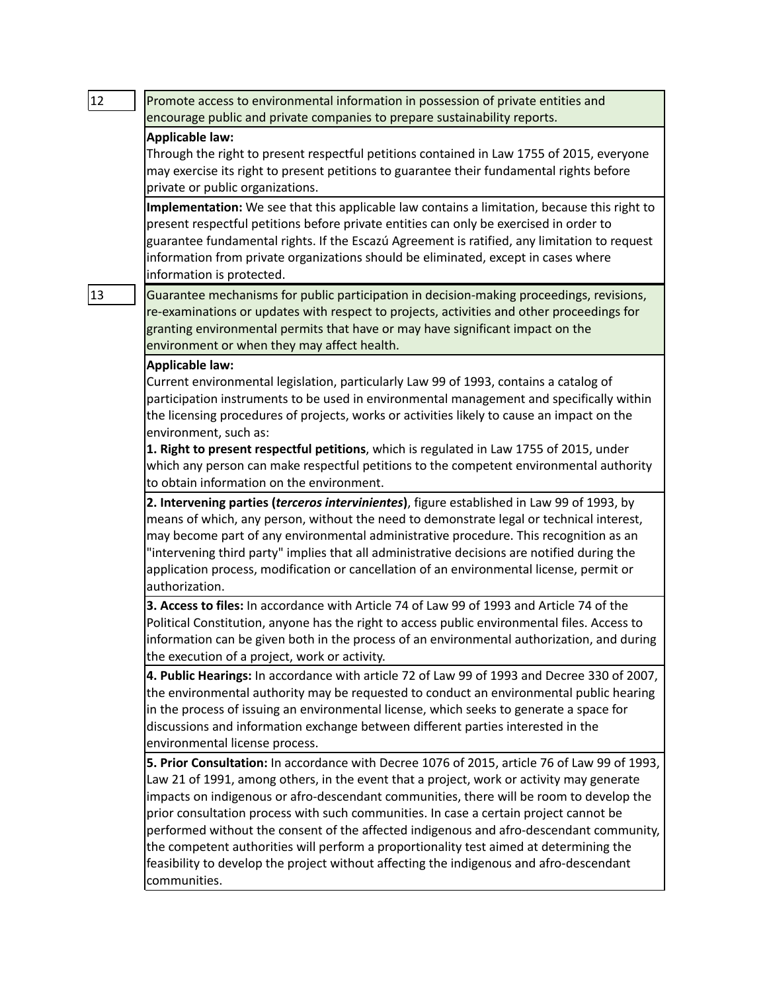| 12 | Promote access to environmental information in possession of private entities and                                                                                                                                                                                                                                                                                                                                                                                                                                                                                                                                                                                            |
|----|------------------------------------------------------------------------------------------------------------------------------------------------------------------------------------------------------------------------------------------------------------------------------------------------------------------------------------------------------------------------------------------------------------------------------------------------------------------------------------------------------------------------------------------------------------------------------------------------------------------------------------------------------------------------------|
|    | encourage public and private companies to prepare sustainability reports.                                                                                                                                                                                                                                                                                                                                                                                                                                                                                                                                                                                                    |
|    | <b>Applicable law:</b><br>Through the right to present respectful petitions contained in Law 1755 of 2015, everyone<br>may exercise its right to present petitions to guarantee their fundamental rights before<br>private or public organizations.                                                                                                                                                                                                                                                                                                                                                                                                                          |
|    | Implementation: We see that this applicable law contains a limitation, because this right to<br>present respectful petitions before private entities can only be exercised in order to<br>guarantee fundamental rights. If the Escazú Agreement is ratified, any limitation to request<br>information from private organizations should be eliminated, except in cases where<br>information is protected.                                                                                                                                                                                                                                                                    |
| 13 | Guarantee mechanisms for public participation in decision-making proceedings, revisions,<br>re-examinations or updates with respect to projects, activities and other proceedings for<br>granting environmental permits that have or may have significant impact on the<br>environment or when they may affect health.                                                                                                                                                                                                                                                                                                                                                       |
|    | <b>Applicable law:</b><br>Current environmental legislation, particularly Law 99 of 1993, contains a catalog of<br>participation instruments to be used in environmental management and specifically within<br>the licensing procedures of projects, works or activities likely to cause an impact on the<br>environment, such as:<br>1. Right to present respectful petitions, which is regulated in Law 1755 of 2015, under<br>which any person can make respectful petitions to the competent environmental authority<br>to obtain information on the environment.                                                                                                        |
|    | 2. Intervening parties (terceros intervinientes), figure established in Law 99 of 1993, by<br>means of which, any person, without the need to demonstrate legal or technical interest,<br>may become part of any environmental administrative procedure. This recognition as an<br>"intervening third party" implies that all administrative decisions are notified during the<br>application process, modification or cancellation of an environmental license, permit or<br>authorization.                                                                                                                                                                                 |
|    | 3. Access to files: In accordance with Article 74 of Law 99 of 1993 and Article 74 of the<br>Political Constitution, anyone has the right to access public environmental files. Access to<br>information can be given both in the process of an environmental authorization, and during<br>the execution of a project, work or activity.                                                                                                                                                                                                                                                                                                                                     |
|    | 4. Public Hearings: In accordance with article 72 of Law 99 of 1993 and Decree 330 of 2007,<br>the environmental authority may be requested to conduct an environmental public hearing<br>in the process of issuing an environmental license, which seeks to generate a space for<br>discussions and information exchange between different parties interested in the<br>environmental license process.                                                                                                                                                                                                                                                                      |
|    | 5. Prior Consultation: In accordance with Decree 1076 of 2015, article 76 of Law 99 of 1993,<br>Law 21 of 1991, among others, in the event that a project, work or activity may generate<br>impacts on indigenous or afro-descendant communities, there will be room to develop the<br>prior consultation process with such communities. In case a certain project cannot be<br>performed without the consent of the affected indigenous and afro-descendant community,<br>the competent authorities will perform a proportionality test aimed at determining the<br>feasibility to develop the project without affecting the indigenous and afro-descendant<br>communities. |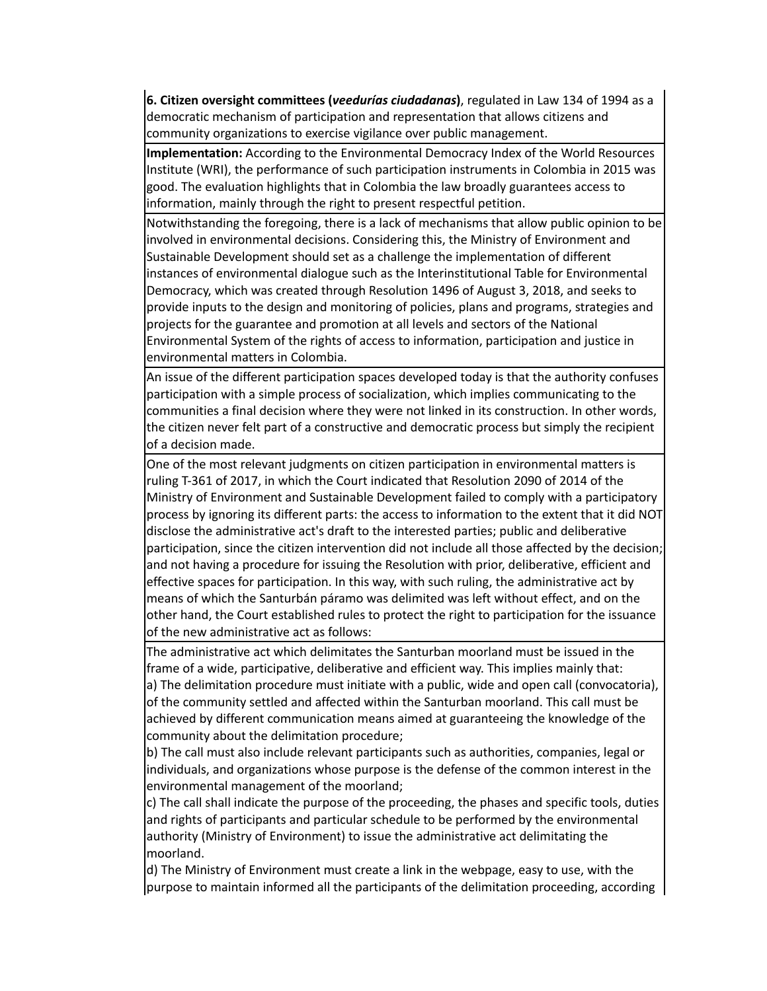**6. Citizen oversight committees (***veedurías ciudadanas***)**, regulated in Law 134 of 1994 as a democratic mechanism of participation and representation that allows citizens and community organizations to exercise vigilance over public management.

**Implementation:** According to the Environmental Democracy Index of the World Resources Institute (WRI), the performance of such participation instruments in Colombia in 2015 was good. The evaluation highlights that in Colombia the law broadly guarantees access to information, mainly through the right to present respectful petition.

Notwithstanding the foregoing, there is a lack of mechanisms that allow public opinion to be involved in environmental decisions. Considering this, the Ministry of Environment and Sustainable Development should set as a challenge the implementation of different instances of environmental dialogue such as the Interinstitutional Table for Environmental Democracy, which was created through Resolution 1496 of August 3, 2018, and seeks to provide inputs to the design and monitoring of policies, plans and programs, strategies and projects for the guarantee and promotion at all levels and sectors of the National Environmental System of the rights of access to information, participation and justice in environmental matters in Colombia.

An issue of the different participation spaces developed today is that the authority confuses participation with a simple process of socialization, which implies communicating to the communities a final decision where they were not linked in its construction. In other words, the citizen never felt part of a constructive and democratic process but simply the recipient of a decision made.

One of the most relevant judgments on citizen participation in environmental matters is ruling T-361 of 2017, in which the Court indicated that Resolution 2090 of 2014 of the Ministry of Environment and Sustainable Development failed to comply with a participatory process by ignoring its different parts: the access to information to the extent that it did NOT disclose the administrative act's draft to the interested parties; public and deliberative participation, since the citizen intervention did not include all those affected by the decision; and not having a procedure for issuing the Resolution with prior, deliberative, efficient and effective spaces for participation. In this way, with such ruling, the administrative act by means of which the Santurbán páramo was delimited was left without effect, and on the other hand, the Court established rules to protect the right to participation for the issuance of the new administrative act as follows:

The administrative act which delimitates the Santurban moorland must be issued in the frame of a wide, participative, deliberative and efficient way. This implies mainly that: a) The delimitation procedure must initiate with a public, wide and open call (convocatoria), of the community settled and affected within the Santurban moorland. This call must be achieved by different communication means aimed at guaranteeing the knowledge of the community about the delimitation procedure;

b) The call must also include relevant participants such as authorities, companies, legal or individuals, and organizations whose purpose is the defense of the common interest in the environmental management of the moorland;

c) The call shall indicate the purpose of the proceeding, the phases and specific tools, duties and rights of participants and particular schedule to be performed by the environmental authority (Ministry of Environment) to issue the administrative act delimitating the moorland.

d) The Ministry of Environment must create a link in the webpage, easy to use, with the purpose to maintain informed all the participants of the delimitation proceeding, according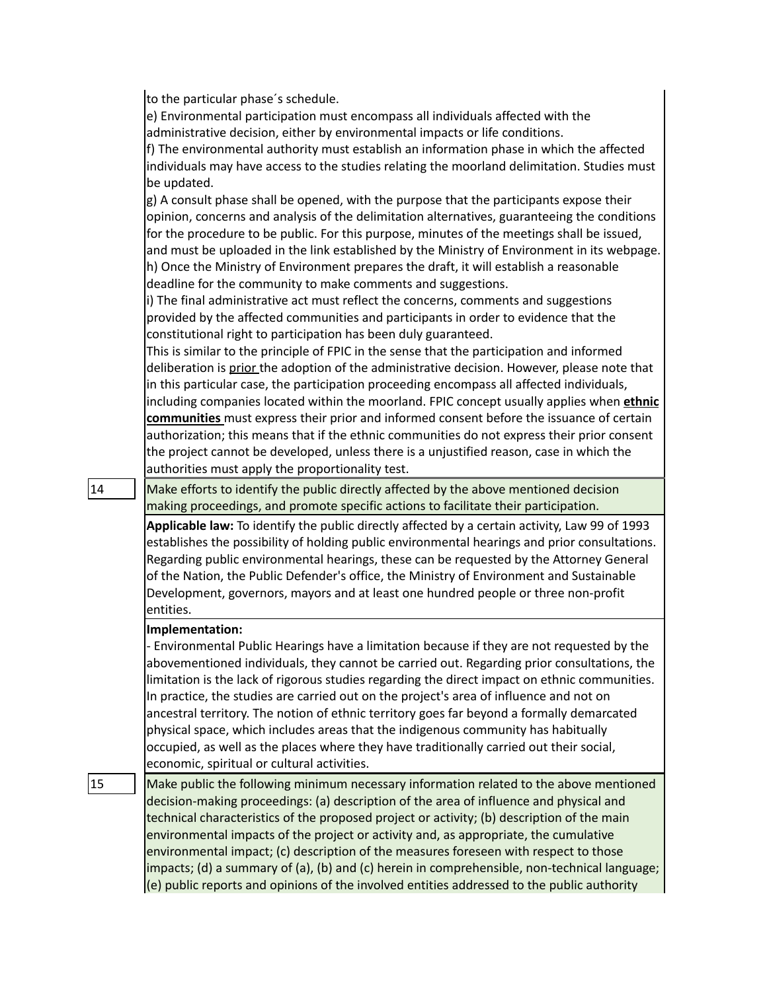to the particular phase´s schedule.

e) Environmental participation must encompass all individuals affected with the administrative decision, either by environmental impacts or life conditions.

f) The environmental authority must establish an information phase in which the affected individuals may have access to the studies relating the moorland delimitation. Studies must be updated.

g) A consult phase shall be opened, with the purpose that the participants expose their opinion, concerns and analysis of the delimitation alternatives, guaranteeing the conditions for the procedure to be public. For this purpose, minutes of the meetings shall be issued, and must be uploaded in the link established by the Ministry of Environment in its webpage. h) Once the Ministry of Environment prepares the draft, it will establish a reasonable deadline for the community to make comments and suggestions.

i) The final administrative act must reflect the concerns, comments and suggestions provided by the affected communities and participants in order to evidence that the constitutional right to participation has been duly guaranteed.

This is similar to the principle of FPIC in the sense that the participation and informed deliberation is prior the adoption of the administrative decision. However, please note that in this particular case, the participation proceeding encompass all affected individuals, including companies located within the moorland. FPIC concept usually applies when **ethnic communities** must express their prior and informed consent before the issuance of certain authorization; this means that if the ethnic communities do not express their prior consent the project cannot be developed, unless there is a unjustified reason, case in which the authorities must apply the proportionality test.

 $|14|$  Make efforts to identify the public directly affected by the above mentioned decision making proceedings, and promote specific actions to facilitate their participation.

> **Applicable law:** To identify the public directly affected by a certain activity, Law 99 of 1993 establishes the possibility of holding public environmental hearings and prior consultations. Regarding public environmental hearings, these can be requested by the Attorney General of the Nation, the Public Defender's office, the Ministry of Environment and Sustainable Development, governors, mayors and at least one hundred people or three non-profit entities.

## **Implementation:**

- Environmental Public Hearings have a limitation because if they are not requested by the abovementioned individuals, they cannot be carried out. Regarding prior consultations, the limitation is the lack of rigorous studies regarding the direct impact on ethnic communities. In practice, the studies are carried out on the project's area of influence and not on ancestral territory. The notion of ethnic territory goes far beyond a formally demarcated physical space, which includes areas that the indigenous community has habitually occupied, as well as the places where they have traditionally carried out their social, economic, spiritual or cultural activities.

 $\vert$  15  $\vert$  Make public the following minimum necessary information related to the above mentioned decision-making proceedings: (a) description of the area of influence and physical and technical characteristics of the proposed project or activity; (b) description of the main environmental impacts of the project or activity and, as appropriate, the cumulative environmental impact; (c) description of the measures foreseen with respect to those impacts; (d) a summary of (a), (b) and (c) herein in comprehensible, non-technical language; (e) public reports and opinions of the involved entities addressed to the public authority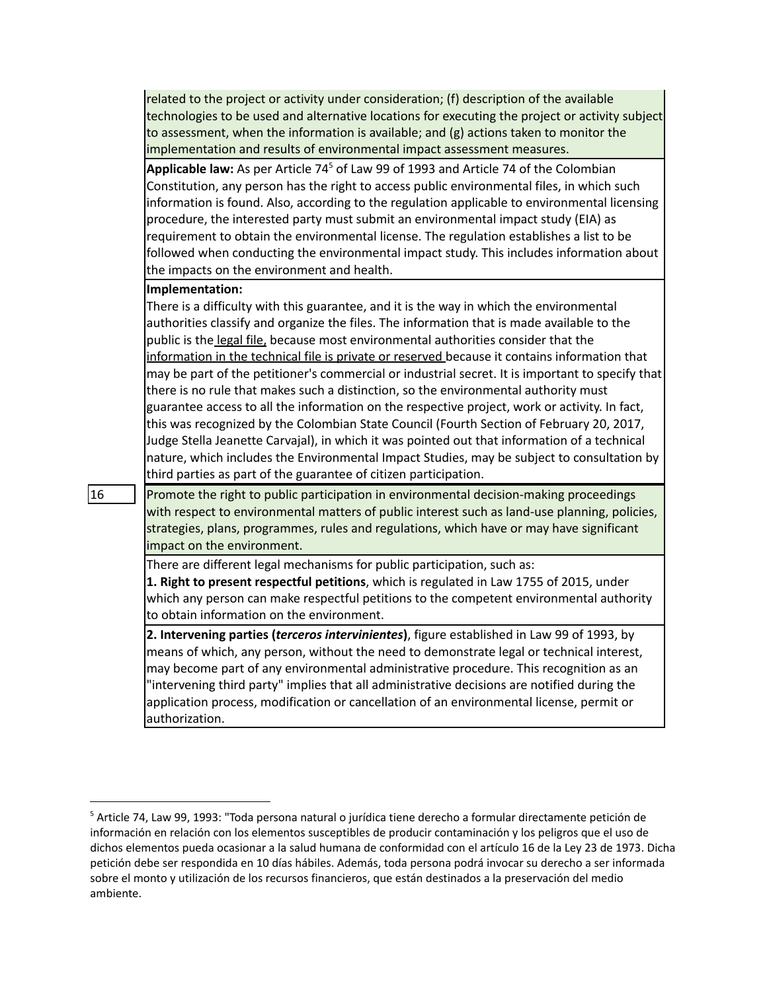related to the project or activity under consideration; (f) description of the available technologies to be used and alternative locations for executing the project or activity subject to assessment, when the information is available; and (g) actions taken to monitor the implementation and results of environmental impact assessment measures.

**Applicable law:** As per Article 74 <sup>5</sup> of Law 99 of 1993 and Article 74 of the Colombian Constitution, any person has the right to access public environmental files, in which such information is found. Also, according to the regulation applicable to environmental licensing procedure, the interested party must submit an environmental impact study (EIA) as requirement to obtain the environmental license. The regulation establishes a list to be followed when conducting the environmental impact study. This includes information about the impacts on the environment and health.

### **Implementation:**

There is a difficulty with this guarantee, and it is the way in which the environmental authorities classify and organize the files. The information that is made available to the public is the legal file, because most environmental authorities consider that the information in the technical file is private or reserved because it contains information that may be part of the petitioner's commercial or industrial secret. It is important to specify that there is no rule that makes such a distinction, so the environmental authority must guarantee access to all the information on the respective project, work or activity. In fact, this was recognized by the Colombian State Council (Fourth Section of February 20, 2017, Judge Stella Jeanette Carvajal), in which it was pointed out that information of a technical nature, which includes the Environmental Impact Studies, may be subject to consultation by third parties as part of the guarantee of citizen participation.

 $\vert$  16 Promote the right to public participation in environmental decision-making proceedings with respect to environmental matters of public interest such as land-use planning, policies, strategies, plans, programmes, rules and regulations, which have or may have significant impact on the environment.

There are different legal mechanisms for public participation, such as:

**1. Right to present respectful petitions**, which is regulated in Law 1755 of 2015, under which any person can make respectful petitions to the competent environmental authority to obtain information on the environment.

**2. Intervening parties (***terceros intervinientes***)**, figure established in Law 99 of 1993, by means of which, any person, without the need to demonstrate legal or technical interest, may become part of any environmental administrative procedure. This recognition as an "intervening third party" implies that all administrative decisions are notified during the application process, modification or cancellation of an environmental license, permit or authorization.

<sup>5</sup> Article 74, Law 99, 1993: "Toda persona natural o jurídica tiene derecho a formular directamente petición de información en relación con los elementos susceptibles de producir contaminación y los peligros que el uso de dichos elementos pueda ocasionar a la salud humana de conformidad con el artículo 16 de la Ley 23 de 1973. Dicha petición debe ser respondida en 10 días hábiles. Además, toda persona podrá invocar su derecho a ser informada sobre el monto y utilización de los recursos financieros, que están destinados a la preservación del medio ambiente.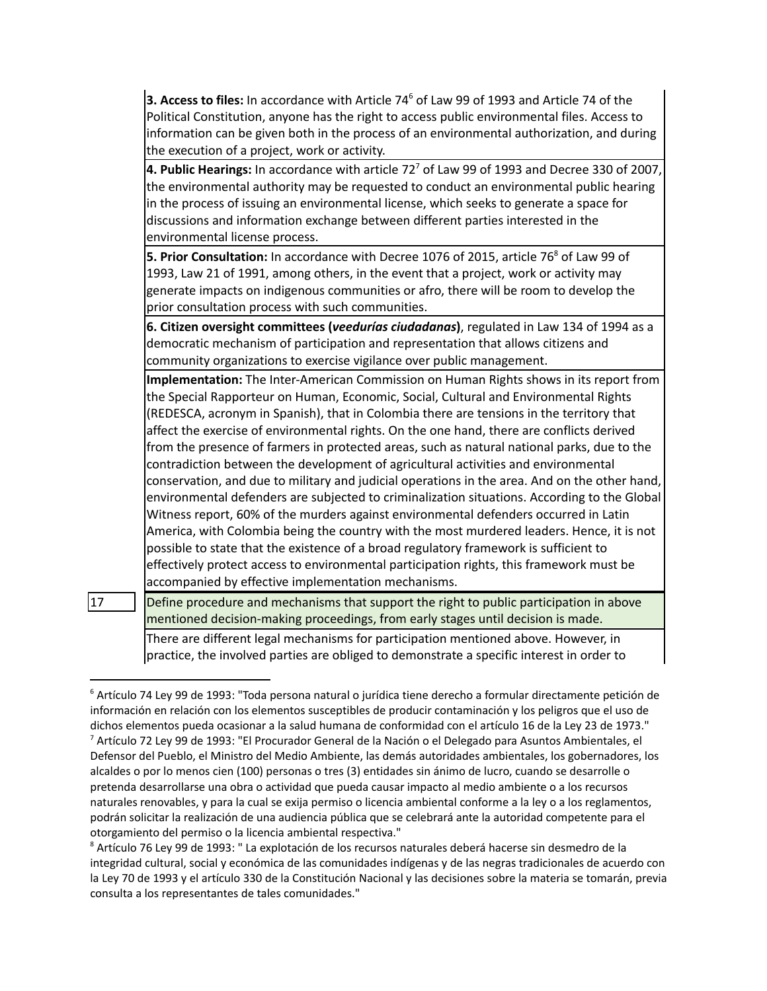**3. Access to files:** In accordance with Article 74<sup>6</sup> of Law 99 of 1993 and Article 74 of the Political Constitution, anyone has the right to access public environmental files. Access to information can be given both in the process of an environmental authorization, and during the execution of a project, work or activity.

**4. Public Hearings:** In accordance with article 72 <sup>7</sup> of Law 99 of 1993 and Decree 330 of 2007, the environmental authority may be requested to conduct an environmental public hearing in the process of issuing an environmental license, which seeks to generate a space for discussions and information exchange between different parties interested in the environmental license process.

**5. Prior Consultation:** In accordance with Decree 1076 of 2015, article 76 <sup>8</sup> of Law 99 of 1993, Law 21 of 1991, among others, in the event that a project, work or activity may generate impacts on indigenous communities or afro, there will be room to develop the prior consultation process with such communities.

**6. Citizen oversight committees (***veedurías ciudadanas***)**, regulated in Law 134 of 1994 as a democratic mechanism of participation and representation that allows citizens and community organizations to exercise vigilance over public management.

**Implementation:** The Inter-American Commission on Human Rights shows in its report from the Special Rapporteur on Human, Economic, Social, Cultural and Environmental Rights (REDESCA, acronym in Spanish), that in Colombia there are tensions in the territory that affect the exercise of environmental rights. On the one hand, there are conflicts derived from the presence of farmers in protected areas, such as natural national parks, due to the contradiction between the development of agricultural activities and environmental conservation, and due to military and judicial operations in the area. And on the other hand, environmental defenders are subjected to criminalization situations. According to the Global Witness report, 60% of the murders against environmental defenders occurred in Latin America, with Colombia being the country with the most murdered leaders. Hence, it is not possible to state that the existence of a broad regulatory framework is sufficient to effectively protect access to environmental participation rights, this framework must be accompanied by effective implementation mechanisms.

 $\vert$ 17  $\vert$  Define procedure and mechanisms that support the right to public participation in above mentioned decision-making proceedings, from early stages until decision is made.

There are different legal mechanisms for participation mentioned above. However, in practice, the involved parties are obliged to demonstrate a specific interest in order to

<sup>7</sup> Artículo 72 Ley 99 de 1993: "El Procurador General de la Nación o el Delegado para Asuntos Ambientales, el Defensor del Pueblo, el Ministro del Medio Ambiente, las demás autoridades ambientales, los gobernadores, los alcaldes o por lo menos cien (100) personas o tres (3) entidades sin ánimo de lucro, cuando se desarrolle o pretenda desarrollarse una obra o actividad que pueda causar impacto al medio ambiente o a los recursos naturales renovables, y para la cual se exija permiso o licencia ambiental conforme a la ley o a los reglamentos, podrán solicitar la realización de una audiencia pública que se celebrará ante la autoridad competente para el otorgamiento del permiso o la licencia ambiental respectiva." <sup>6</sup> Artículo 74 Ley 99 de 1993: "Toda persona natural o jurídica tiene derecho a formular directamente petición de información en relación con los elementos susceptibles de producir contaminación y los peligros que el uso de dichos elementos pueda ocasionar a la salud humana de conformidad con el artículo 16 de la Ley 23 de 1973."

<sup>8</sup> Artículo 76 Ley 99 de 1993: " La explotación de los recursos naturales deberá hacerse sin desmedro de la integridad cultural, social y económica de las comunidades indígenas y de las negras tradicionales de acuerdo con la Ley 70 de 1993 y el artículo 330 de la Constitución Nacional y las decisiones sobre la materia se tomarán, previa consulta a los representantes de tales comunidades."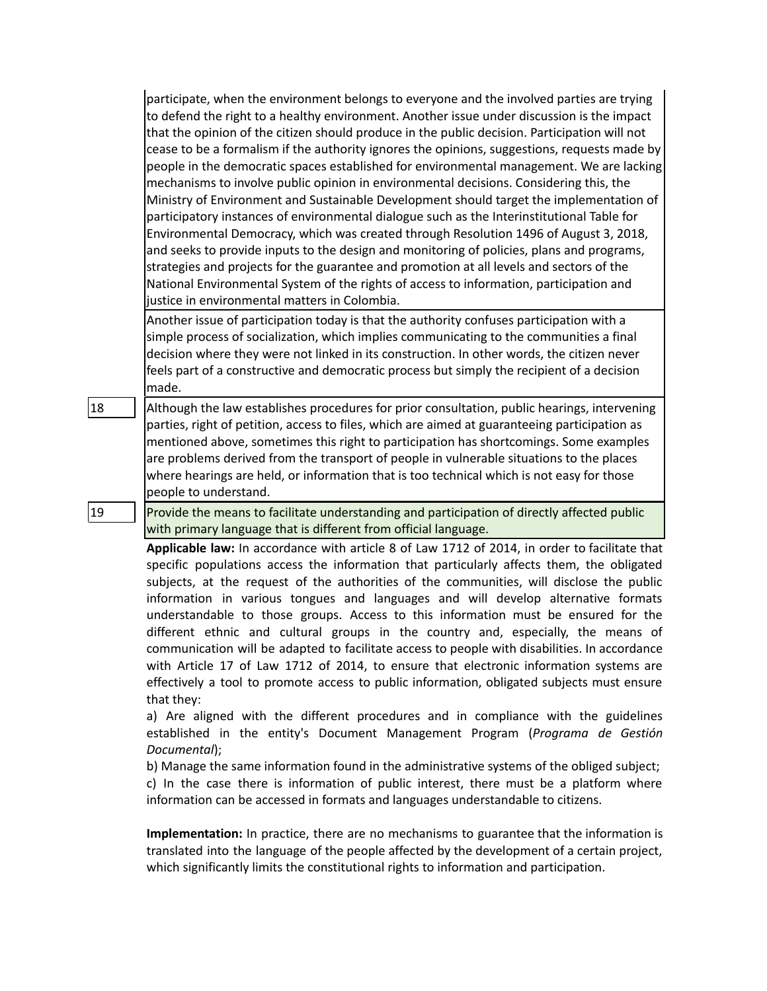participate, when the environment belongs to everyone and the involved parties are trying to defend the right to a healthy environment. Another issue under discussion is the impact that the opinion of the citizen should produce in the public decision. Participation will not cease to be a formalism if the authority ignores the opinions, suggestions, requests made by people in the democratic spaces established for environmental management. We are lacking mechanisms to involve public opinion in environmental decisions. Considering this, the Ministry of Environment and Sustainable Development should target the implementation of participatory instances of environmental dialogue such as the Interinstitutional Table for Environmental Democracy, which was created through Resolution 1496 of August 3, 2018, and seeks to provide inputs to the design and monitoring of policies, plans and programs, strategies and projects for the guarantee and promotion at all levels and sectors of the National Environmental System of the rights of access to information, participation and justice in environmental matters in Colombia.

Another issue of participation today is that the authority confuses participation with a simple process of socialization, which implies communicating to the communities a final decision where they were not linked in its construction. In other words, the citizen never feels part of a constructive and democratic process but simply the recipient of a decision made.

18 **Although the law establishes procedures for prior consultation, public hearings, intervening** parties, right of petition, access to files, which are aimed at guaranteeing participation as mentioned above, sometimes this right to participation has shortcomings. Some examples are problems derived from the transport of people in vulnerable situations to the places where hearings are held, or information that is too technical which is not easy for those people to understand.

19 Provide the means to facilitate understanding and participation of directly affected public with primary language that is different from official language.

> **Applicable law:** In accordance with article 8 of Law 1712 of 2014, in order to facilitate that specific populations access the information that particularly affects them, the obligated subjects, at the request of the authorities of the communities, will disclose the public information in various tongues and languages and will develop alternative formats understandable to those groups. Access to this information must be ensured for the different ethnic and cultural groups in the country and, especially, the means of communication will be adapted to facilitate access to people with disabilities. In accordance with Article 17 of Law 1712 of 2014, to ensure that electronic information systems are effectively a tool to promote access to public information, obligated subjects must ensure that they:

> a) Are aligned with the different procedures and in compliance with the guidelines established in the entity's Document Management Program (*Programa de Gestión Documental*);

> b) Manage the same information found in the administrative systems of the obliged subject; c) In the case there is information of public interest, there must be a platform where information can be accessed in formats and languages understandable to citizens.

> **Implementation:** In practice, there are no mechanisms to guarantee that the information is translated into the language of the people affected by the development of a certain project, which significantly limits the constitutional rights to information and participation.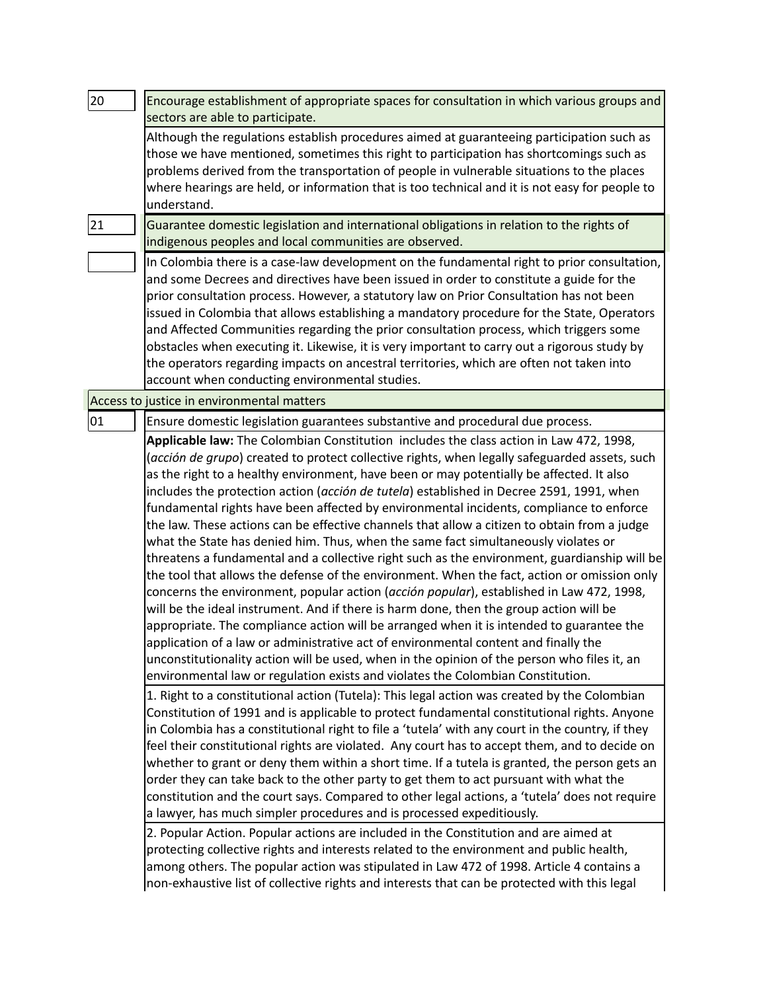| 20 | Encourage establishment of appropriate spaces for consultation in which various groups and<br>sectors are able to participate.                                                                                                                                                                                                                                                                                                                                                                                                                                                                                                                                                                                                                                                                                                                                                                                                                                                                                                                                                                                                                                                                                                                                                                                                                                                                                                                                                                                                                                                                                                                                                                                                                                                                                                                                                                                                                                                                                                                                                                                                                                                                                                                                                                                                                                                                                                                                                                                                                                                                                                                                       |
|----|----------------------------------------------------------------------------------------------------------------------------------------------------------------------------------------------------------------------------------------------------------------------------------------------------------------------------------------------------------------------------------------------------------------------------------------------------------------------------------------------------------------------------------------------------------------------------------------------------------------------------------------------------------------------------------------------------------------------------------------------------------------------------------------------------------------------------------------------------------------------------------------------------------------------------------------------------------------------------------------------------------------------------------------------------------------------------------------------------------------------------------------------------------------------------------------------------------------------------------------------------------------------------------------------------------------------------------------------------------------------------------------------------------------------------------------------------------------------------------------------------------------------------------------------------------------------------------------------------------------------------------------------------------------------------------------------------------------------------------------------------------------------------------------------------------------------------------------------------------------------------------------------------------------------------------------------------------------------------------------------------------------------------------------------------------------------------------------------------------------------------------------------------------------------------------------------------------------------------------------------------------------------------------------------------------------------------------------------------------------------------------------------------------------------------------------------------------------------------------------------------------------------------------------------------------------------------------------------------------------------------------------------------------------------|
|    | Although the regulations establish procedures aimed at guaranteeing participation such as<br>those we have mentioned, sometimes this right to participation has shortcomings such as<br>problems derived from the transportation of people in vulnerable situations to the places<br>where hearings are held, or information that is too technical and it is not easy for people to<br>understand.                                                                                                                                                                                                                                                                                                                                                                                                                                                                                                                                                                                                                                                                                                                                                                                                                                                                                                                                                                                                                                                                                                                                                                                                                                                                                                                                                                                                                                                                                                                                                                                                                                                                                                                                                                                                                                                                                                                                                                                                                                                                                                                                                                                                                                                                   |
| 21 | Guarantee domestic legislation and international obligations in relation to the rights of<br>indigenous peoples and local communities are observed.                                                                                                                                                                                                                                                                                                                                                                                                                                                                                                                                                                                                                                                                                                                                                                                                                                                                                                                                                                                                                                                                                                                                                                                                                                                                                                                                                                                                                                                                                                                                                                                                                                                                                                                                                                                                                                                                                                                                                                                                                                                                                                                                                                                                                                                                                                                                                                                                                                                                                                                  |
|    | In Colombia there is a case-law development on the fundamental right to prior consultation,<br>and some Decrees and directives have been issued in order to constitute a guide for the<br>prior consultation process. However, a statutory law on Prior Consultation has not been<br>issued in Colombia that allows establishing a mandatory procedure for the State, Operators<br>and Affected Communities regarding the prior consultation process, which triggers some<br>obstacles when executing it. Likewise, it is very important to carry out a rigorous study by<br>the operators regarding impacts on ancestral territories, which are often not taken into<br>account when conducting environmental studies.                                                                                                                                                                                                                                                                                                                                                                                                                                                                                                                                                                                                                                                                                                                                                                                                                                                                                                                                                                                                                                                                                                                                                                                                                                                                                                                                                                                                                                                                                                                                                                                                                                                                                                                                                                                                                                                                                                                                              |
|    | Access to justice in environmental matters                                                                                                                                                                                                                                                                                                                                                                                                                                                                                                                                                                                                                                                                                                                                                                                                                                                                                                                                                                                                                                                                                                                                                                                                                                                                                                                                                                                                                                                                                                                                                                                                                                                                                                                                                                                                                                                                                                                                                                                                                                                                                                                                                                                                                                                                                                                                                                                                                                                                                                                                                                                                                           |
| 01 | Ensure domestic legislation guarantees substantive and procedural due process.<br>Applicable law: The Colombian Constitution includes the class action in Law 472, 1998,<br>(acción de grupo) created to protect collective rights, when legally safeguarded assets, such<br>as the right to a healthy environment, have been or may potentially be affected. It also<br>includes the protection action (acción de tutela) established in Decree 2591, 1991, when<br>fundamental rights have been affected by environmental incidents, compliance to enforce<br>the law. These actions can be effective channels that allow a citizen to obtain from a judge<br>what the State has denied him. Thus, when the same fact simultaneously violates or<br>threatens a fundamental and a collective right such as the environment, guardianship will be<br>the tool that allows the defense of the environment. When the fact, action or omission only<br>concerns the environment, popular action (acción popular), established in Law 472, 1998,<br>will be the ideal instrument. And if there is harm done, then the group action will be<br>appropriate. The compliance action will be arranged when it is intended to guarantee the<br>application of a law or administrative act of environmental content and finally the<br>unconstitutionality action will be used, when in the opinion of the person who files it, an<br>environmental law or regulation exists and violates the Colombian Constitution.<br>1. Right to a constitutional action (Tutela): This legal action was created by the Colombian<br>Constitution of 1991 and is applicable to protect fundamental constitutional rights. Anyone<br>in Colombia has a constitutional right to file a 'tutela' with any court in the country, if they<br>feel their constitutional rights are violated. Any court has to accept them, and to decide on<br>whether to grant or deny them within a short time. If a tutela is granted, the person gets an<br>order they can take back to the other party to get them to act pursuant with what the<br>constitution and the court says. Compared to other legal actions, a 'tutela' does not require<br>a lawyer, has much simpler procedures and is processed expeditiously.<br>2. Popular Action. Popular actions are included in the Constitution and are aimed at<br>protecting collective rights and interests related to the environment and public health,<br>among others. The popular action was stipulated in Law 472 of 1998. Article 4 contains a<br>non-exhaustive list of collective rights and interests that can be protected with this legal |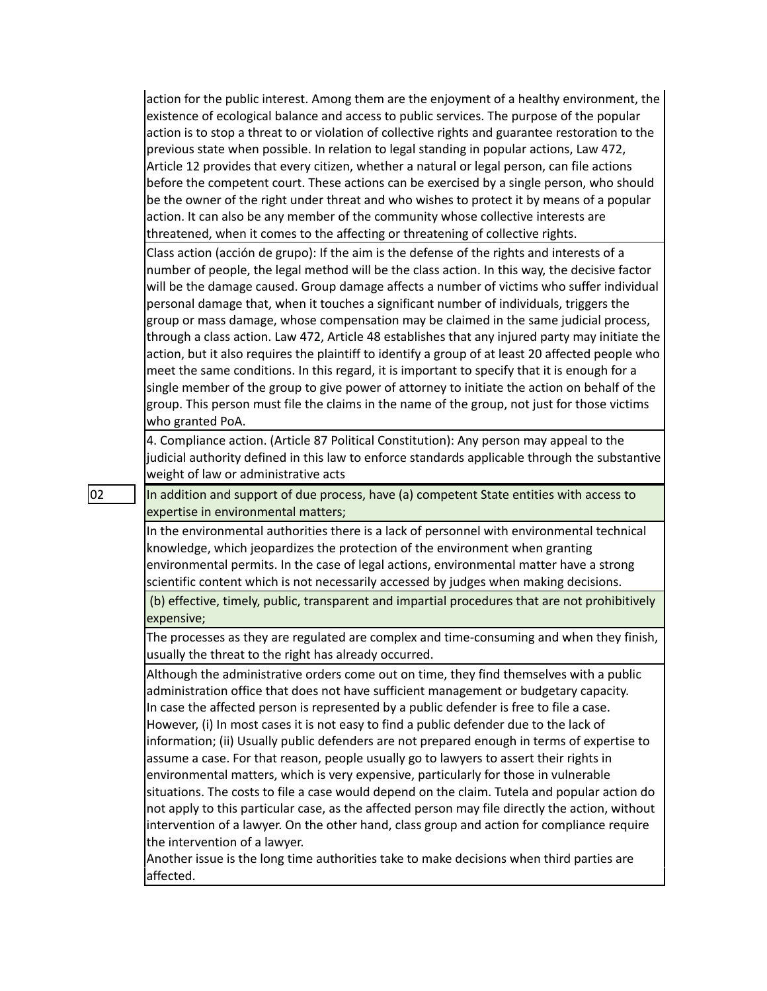action for the public interest. Among them are the enjoyment of a healthy environment, the existence of ecological balance and access to public services. The purpose of the popular action is to stop a threat to or violation of collective rights and guarantee restoration to the previous state when possible. In relation to legal standing in popular actions, Law 472, Article 12 provides that every citizen, whether a natural or legal person, can file actions before the competent court. These actions can be exercised by a single person, who should be the owner of the right under threat and who wishes to protect it by means of a popular action. It can also be any member of the community whose collective interests are threatened, when it comes to the affecting or threatening of collective rights.

Class action (acción de grupo): If the aim is the defense of the rights and interests of a number of people, the legal method will be the class action. In this way, the decisive factor will be the damage caused. Group damage affects a number of victims who suffer individual personal damage that, when it touches a significant number of individuals, triggers the group or mass damage, whose compensation may be claimed in the same judicial process, through a class action. Law 472, Article 48 establishes that any injured party may initiate the action, but it also requires the plaintiff to identify a group of at least 20 affected people who meet the same conditions. In this regard, it is important to specify that it is enough for a single member of the group to give power of attorney to initiate the action on behalf of the group. This person must file the claims in the name of the group, not just for those victims who granted PoA.

4. Compliance action. (Article 87 Political Constitution): Any person may appeal to the judicial authority defined in this law to enforce standards applicable through the substantive weight of law or administrative acts

 $\vert$  02  $\vert$   $\vert$  In addition and support of due process, have (a) competent State entities with access to expertise in environmental matters;

> In the environmental authorities there is a lack of personnel with environmental technical knowledge, which jeopardizes the protection of the environment when granting environmental permits. In the case of legal actions, environmental matter have a strong scientific content which is not necessarily accessed by judges when making decisions.

(b) effective, timely, public, transparent and impartial procedures that are not prohibitively expensive;

The processes as they are regulated are complex and time-consuming and when they finish, usually the threat to the right has already occurred.

Although the administrative orders come out on time, they find themselves with a public administration office that does not have sufficient management or budgetary capacity. In case the affected person is represented by a public defender is free to file a case. However, (i) In most cases it is not easy to find a public defender due to the lack of information; (ii) Usually public defenders are not prepared enough in terms of expertise to assume a case. For that reason, people usually go to lawyers to assert their rights in environmental matters, which is very expensive, particularly for those in vulnerable situations. The costs to file a case would depend on the claim. Tutela and popular action do not apply to this particular case, as the affected person may file directly the action, without intervention of a lawyer. On the other hand, class group and action for compliance require the intervention of a lawyer.

Another issue is the long time authorities take to make decisions when third parties are affected.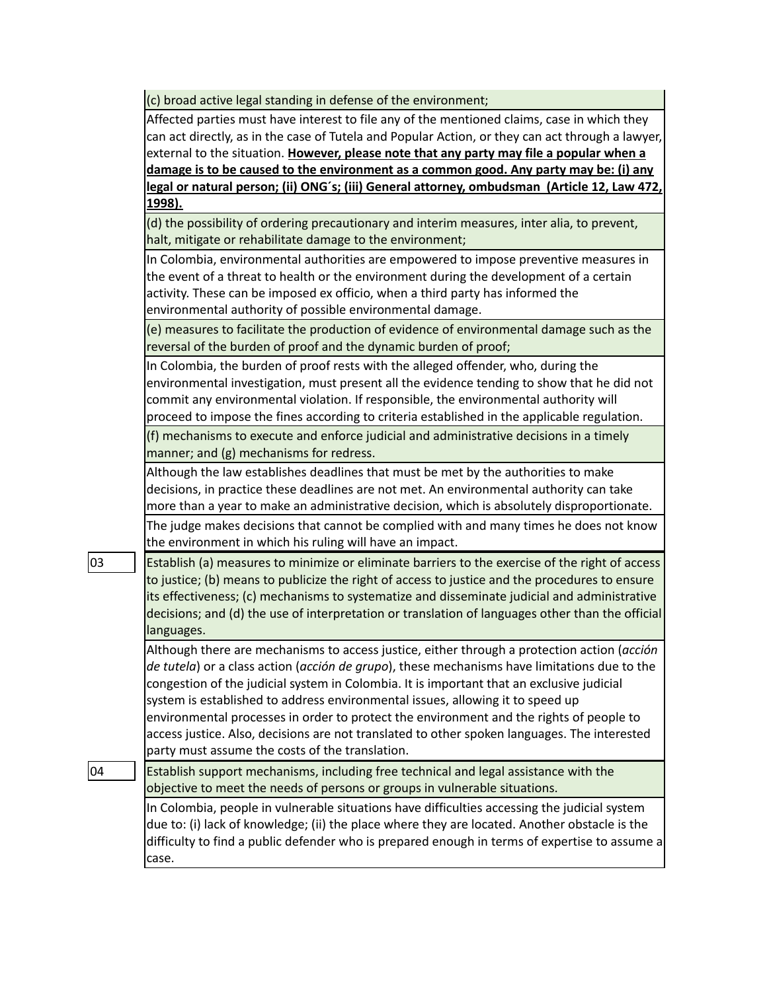(c) broad active legal standing in defense of the environment;

| Affected parties must have interest to file any of the mentioned claims, case in which they         |
|-----------------------------------------------------------------------------------------------------|
| can act directly, as in the case of Tutela and Popular Action, or they can act through a lawyer,    |
| external to the situation. However, please note that any party may file a popular when a            |
| damage is to be caused to the environment as a common good. Any party may be: (i) any               |
| <u>legal or natural person; (ii) ONG's; (iii) General attorney, ombudsman (Article 12, Law 472,</u> |
| 1998).                                                                                              |
| (d) the possibility of ordering precautionary and interim measures, inter alia, to prevent,         |
| halt, mitigate or rehabilitate damage to the environment;                                           |
| In Colombia, environmental authorities are empowered to impose preventive measures in               |
| the event of a threat to health or the environment during the development of a certain              |
| activity. These can be imposed ex officio, when a third party has informed the                      |
| environmental authority of possible environmental damage.                                           |
| (e) measures to facilitate the production of evidence of environmental damage such as the           |
| reversal of the burden of proof and the dynamic burden of proof;                                    |
| In Colombia, the burden of proof rests with the alleged offender, who, during the                   |
| environmental investigation, must present all the evidence tending to show that he did not          |
| commit any environmental violation. If responsible, the environmental authority will                |
| proceed to impose the fines according to criteria established in the applicable regulation.         |
| (f) mechanisms to execute and enforce judicial and administrative decisions in a timely             |
| manner; and (g) mechanisms for redress.                                                             |
| Although the law establishes deadlines that must be met by the authorities to make                  |
| decisions, in practice these deadlines are not met. An environmental authority can take             |
| more than a year to make an administrative decision, which is absolutely disproportionate.          |
| The judge makes decisions that cannot be complied with and many times he does not know              |
| the environment in which his ruling will have an impact.                                            |
| Establish (a) measures to minimize or eliminate barriers to the exercise of the right of access     |
| to justice; (b) means to publicize the right of access to justice and the procedures to ensure      |
| its effectiveness; (c) mechanisms to systematize and disseminate judicial and administrative        |
| decisions; and (d) the use of interpretation or translation of languages other than the official    |
| languages.                                                                                          |
| Although there are mechanisms to access justice, either through a protection action (acción         |
| de tutela) or a class action (acción de grupo), these mechanisms have limitations due to the        |
| congestion of the judicial system in Colombia. It is important that an exclusive judicial           |
| system is established to address environmental issues, allowing it to speed up                      |
| environmental processes in order to protect the environment and the rights of people to             |
| access justice. Also, decisions are not translated to other spoken languages. The interested        |
| party must assume the costs of the translation.                                                     |
| Establish support mechanisms, including free technical and legal assistance with the                |
| objective to meet the needs of persons or groups in vulnerable situations.                          |
| In Colombia, people in vulnerable situations have difficulties accessing the judicial system        |
| due to: (i) lack of knowledge; (ii) the place where they are located. Another obstacle is the       |
| difficulty to find a public defender who is prepared enough in terms of expertise to assume a       |
| case.                                                                                               |
|                                                                                                     |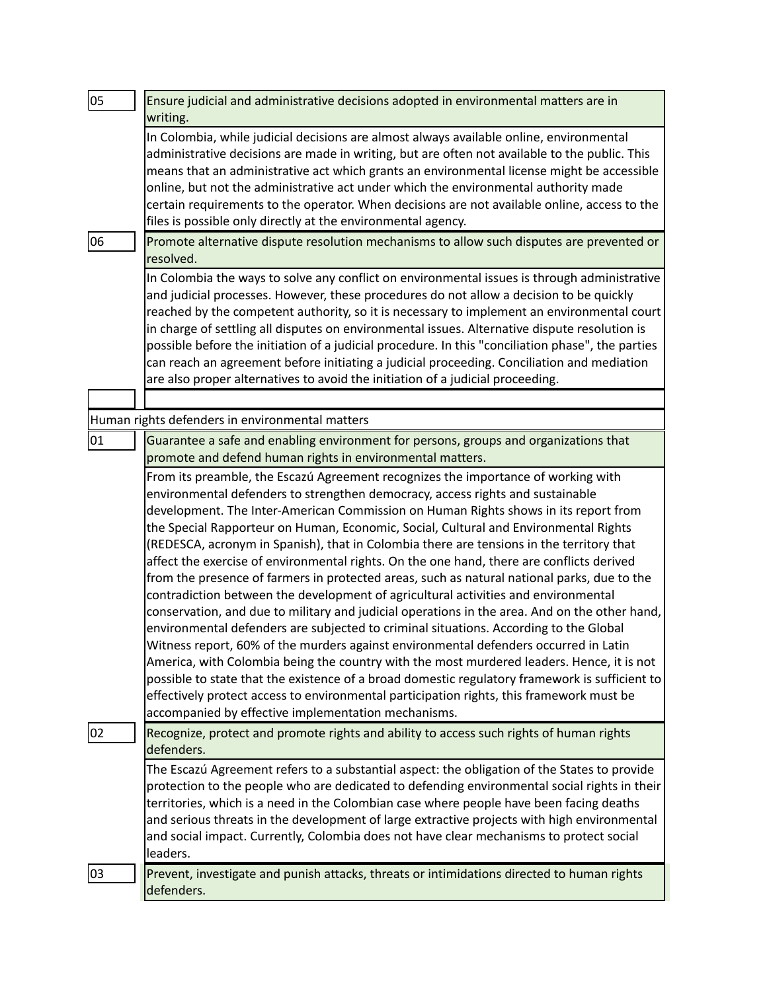| 05 | Ensure judicial and administrative decisions adopted in environmental matters are in<br>writing.                                                                                                                                                                                                                                                                                                                                                                                                                                                                                                                                                                                                                                                                                                                                                                                                                                                                                                                                                                                                                                                                                                                                                                                                                                                                     |
|----|----------------------------------------------------------------------------------------------------------------------------------------------------------------------------------------------------------------------------------------------------------------------------------------------------------------------------------------------------------------------------------------------------------------------------------------------------------------------------------------------------------------------------------------------------------------------------------------------------------------------------------------------------------------------------------------------------------------------------------------------------------------------------------------------------------------------------------------------------------------------------------------------------------------------------------------------------------------------------------------------------------------------------------------------------------------------------------------------------------------------------------------------------------------------------------------------------------------------------------------------------------------------------------------------------------------------------------------------------------------------|
|    | In Colombia, while judicial decisions are almost always available online, environmental<br>administrative decisions are made in writing, but are often not available to the public. This<br>means that an administrative act which grants an environmental license might be accessible<br>online, but not the administrative act under which the environmental authority made<br>certain requirements to the operator. When decisions are not available online, access to the<br>files is possible only directly at the environmental agency.                                                                                                                                                                                                                                                                                                                                                                                                                                                                                                                                                                                                                                                                                                                                                                                                                        |
| 06 | Promote alternative dispute resolution mechanisms to allow such disputes are prevented or<br>resolved.                                                                                                                                                                                                                                                                                                                                                                                                                                                                                                                                                                                                                                                                                                                                                                                                                                                                                                                                                                                                                                                                                                                                                                                                                                                               |
|    | In Colombia the ways to solve any conflict on environmental issues is through administrative<br>and judicial processes. However, these procedures do not allow a decision to be quickly<br>reached by the competent authority, so it is necessary to implement an environmental court<br>in charge of settling all disputes on environmental issues. Alternative dispute resolution is<br>possible before the initiation of a judicial procedure. In this "conciliation phase", the parties<br>can reach an agreement before initiating a judicial proceeding. Conciliation and mediation<br>are also proper alternatives to avoid the initiation of a judicial proceeding.                                                                                                                                                                                                                                                                                                                                                                                                                                                                                                                                                                                                                                                                                          |
|    |                                                                                                                                                                                                                                                                                                                                                                                                                                                                                                                                                                                                                                                                                                                                                                                                                                                                                                                                                                                                                                                                                                                                                                                                                                                                                                                                                                      |
|    | Human rights defenders in environmental matters                                                                                                                                                                                                                                                                                                                                                                                                                                                                                                                                                                                                                                                                                                                                                                                                                                                                                                                                                                                                                                                                                                                                                                                                                                                                                                                      |
| 01 | Guarantee a safe and enabling environment for persons, groups and organizations that<br>promote and defend human rights in environmental matters.                                                                                                                                                                                                                                                                                                                                                                                                                                                                                                                                                                                                                                                                                                                                                                                                                                                                                                                                                                                                                                                                                                                                                                                                                    |
|    | From its preamble, the Escazú Agreement recognizes the importance of working with<br>environmental defenders to strengthen democracy, access rights and sustainable<br>development. The Inter-American Commission on Human Rights shows in its report from<br>the Special Rapporteur on Human, Economic, Social, Cultural and Environmental Rights<br>(REDESCA, acronym in Spanish), that in Colombia there are tensions in the territory that<br>affect the exercise of environmental rights. On the one hand, there are conflicts derived<br>from the presence of farmers in protected areas, such as natural national parks, due to the<br>contradiction between the development of agricultural activities and environmental<br>conservation, and due to military and judicial operations in the area. And on the other hand,<br>environmental defenders are subjected to criminal situations. According to the Global<br>Witness report, 60% of the murders against environmental defenders occurred in Latin<br>America, with Colombia being the country with the most murdered leaders. Hence, it is not<br>possible to state that the existence of a broad domestic regulatory framework is sufficient to<br>effectively protect access to environmental participation rights, this framework must be<br>accompanied by effective implementation mechanisms. |
| 02 | Recognize, protect and promote rights and ability to access such rights of human rights<br>defenders.                                                                                                                                                                                                                                                                                                                                                                                                                                                                                                                                                                                                                                                                                                                                                                                                                                                                                                                                                                                                                                                                                                                                                                                                                                                                |
|    | The Escazú Agreement refers to a substantial aspect: the obligation of the States to provide<br>protection to the people who are dedicated to defending environmental social rights in their<br>territories, which is a need in the Colombian case where people have been facing deaths<br>and serious threats in the development of large extractive projects with high environmental<br>and social impact. Currently, Colombia does not have clear mechanisms to protect social<br>leaders.                                                                                                                                                                                                                                                                                                                                                                                                                                                                                                                                                                                                                                                                                                                                                                                                                                                                        |
| 03 | Prevent, investigate and punish attacks, threats or intimidations directed to human rights<br>defenders.                                                                                                                                                                                                                                                                                                                                                                                                                                                                                                                                                                                                                                                                                                                                                                                                                                                                                                                                                                                                                                                                                                                                                                                                                                                             |